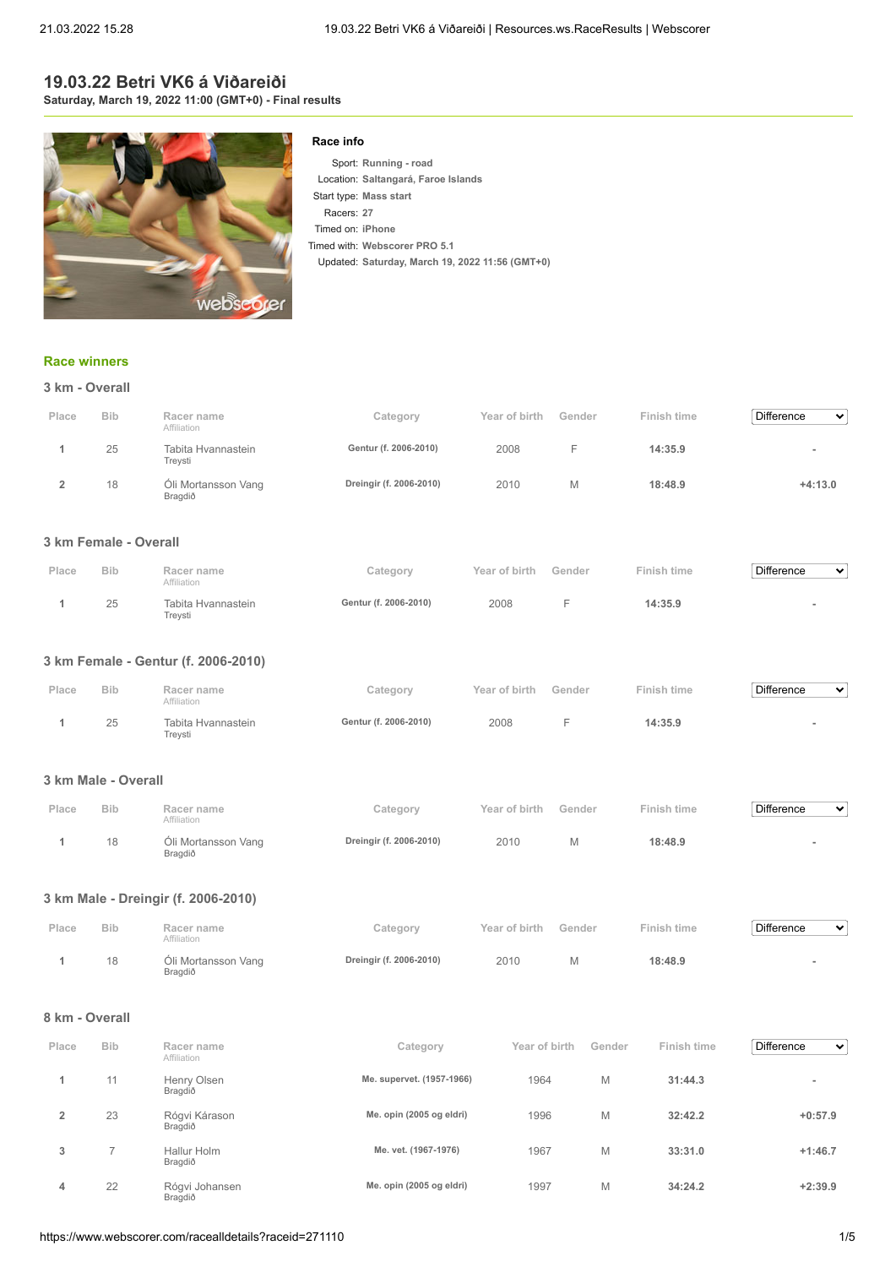## **19.03.22 Betri VK6 á Viðareiði Saturday, March 19, 2022 11:00 (GMT+0) - Final results**



## **Race info**

Sport: **Running - road** Location: **Saltangará, Faroe Islands** Start type: **Mass start** Racers: **27** Timed on: **iPhone** Timed with: **Webscorer PRO 5.1** Updated: **Saturday, March 19, 2022 11:56 (GMT+0)**

## **[Race winners](https://www.webscorer.com/race?raceid=271110)**

|       | 3 km - Overall |                                |                         |               |        |             |                        |  |  |  |
|-------|----------------|--------------------------------|-------------------------|---------------|--------|-------------|------------------------|--|--|--|
| Place | <b>Bib</b>     | Racer name<br>Affiliation      | Category                | Year of birth | Gender | Finish time | <b>Difference</b><br>٠ |  |  |  |
|       | 25             | Tabita Hvannastein<br>Treysti  | Gentur (f. 2006-2010)   | 2008          | E      | 14:35.9     | ۰                      |  |  |  |
|       | 18             | Óli Mortansson Vang<br>Bragdið | Dreingir (f. 2006-2010) | 2010          | M      | 18:48.9     | $+4:13.0$              |  |  |  |

## **3 km Female - Overall**

| Place | <b>Bib</b> | Racer name<br>Affiliation     | Category              | Year of birth | Gender | Finish time | <b>Difference</b><br>$\checkmark$ |
|-------|------------|-------------------------------|-----------------------|---------------|--------|-------------|-----------------------------------|
|       | 25         | Tabita Hvannastein<br>Freysti | Gentur (f. 2006-2010) | 2008          |        | 14:35.9     |                                   |

## **3 km Female - Gentur (f. 2006-2010)**

| Place | <b>Bib</b> | Racer name<br>Affiliation     | Category              | Year of birth | Gender | Finish time | Difference<br>$\checkmark$ |
|-------|------------|-------------------------------|-----------------------|---------------|--------|-------------|----------------------------|
|       | 25         | Tabita Hvannastein<br>Treysti | Gentur (f. 2006-2010) | 2008          |        | 14:35.9     |                            |

## **3 km Male - Overall**

| Place | <b>Bib</b> | Racer name<br>Affiliation      | Category                | Year of birth | Gender | Finish time | Difference<br>$\checkmark$ |
|-------|------------|--------------------------------|-------------------------|---------------|--------|-------------|----------------------------|
|       | 18         | Óli Mortansson Vang<br>Bragdið | Dreingir (f. 2006-2010) | 2010          | M      | 18:48.9     |                            |

## **3 km Male - Dreingir (f. 2006-2010)**

| Place | <b>Bib</b> | Racer name<br>Affiliation      | Category                | Year of birth | Gender | Finish time | Difference<br>$\checkmark$ |
|-------|------------|--------------------------------|-------------------------|---------------|--------|-------------|----------------------------|
|       | 18         | Óli Mortansson Vang<br>Bragdið | Dreingir (f. 2006-2010) | 2010          |        | 18:48.9     |                            |

### **8 km - Overall**

| Place | <b>Bib</b>    | Racer name<br>Affiliation | Category                  | Year of birth | Gender | Finish time | <b>Difference</b><br>$\checkmark$ |
|-------|---------------|---------------------------|---------------------------|---------------|--------|-------------|-----------------------------------|
|       | 11            | Henry Olsen<br>Bragdið    | Me. supervet. (1957-1966) | 1964          | M      | 31:44.3     | $\overline{\phantom{a}}$          |
| 2     | 23            | Rógvi Kárason<br>Bragdið  | Me. opin (2005 og eldri)  | 1996          | M      | 32:42.2     | $+0:57.9$                         |
| 3     | $\rightarrow$ | Hallur Holm<br>Bragdið    | Me. vet. (1967-1976)      | 1967          | M      | 33:31.0     | $+1:46.7$                         |
| 4     | 22            | Rógvi Johansen<br>Bragdið | Me. opin (2005 og eldri)  | 1997          | M      | 34:24.2     | $+2:39.9$                         |

 $\overline{\mathbf{v}}$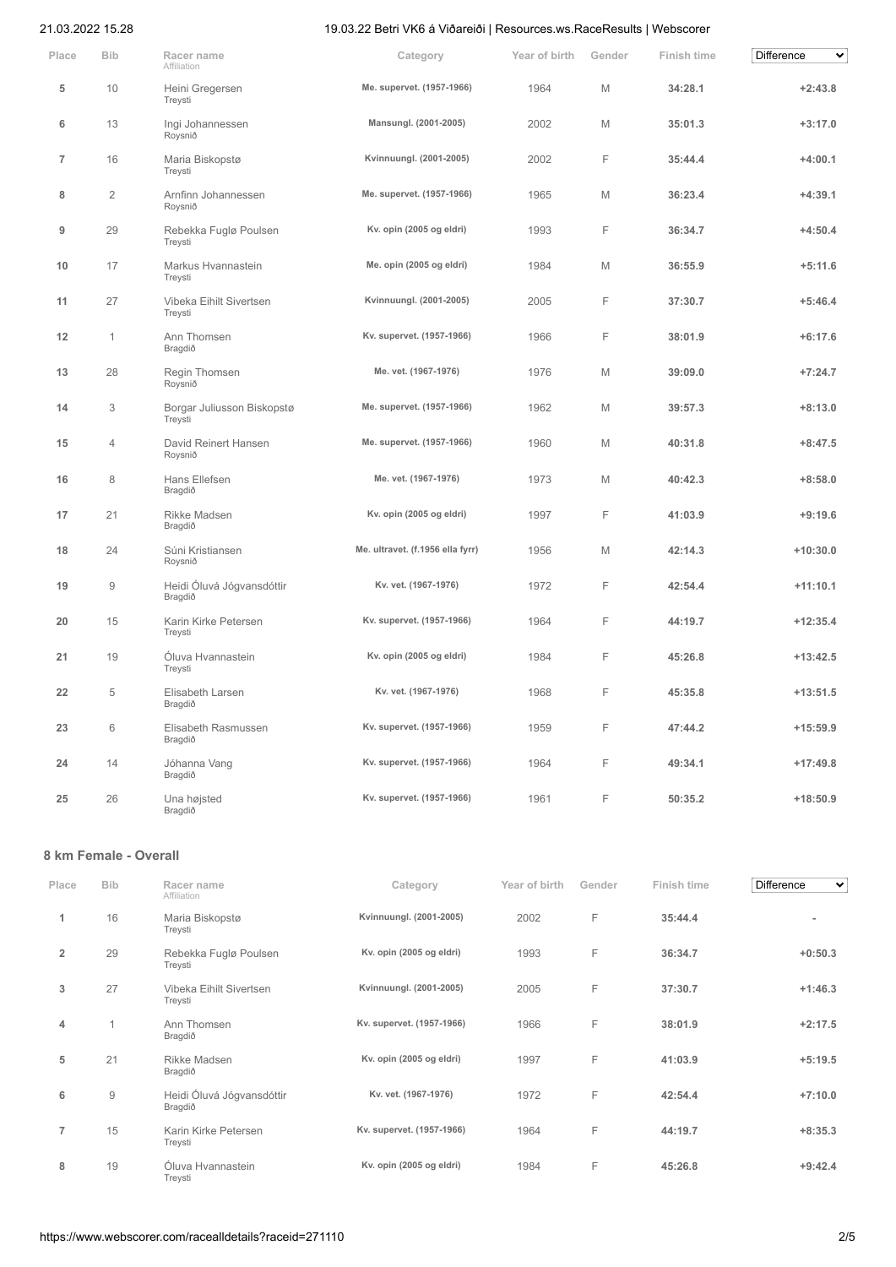| Place          | <b>Bib</b>          | Racer name<br>Affiliation             | Category                         | Year of birth | Gender | Finish time | Difference<br>$\checkmark$ |
|----------------|---------------------|---------------------------------------|----------------------------------|---------------|--------|-------------|----------------------------|
| 5              | 10                  | Heini Gregersen<br>Treysti            | Me. supervet. (1957-1966)        | 1964          | M      | 34:28.1     | $+2:43.8$                  |
| 6              | 13                  | Ingi Johannessen<br>Roysnið           | Mansungl. (2001-2005)            | 2002          | M      | 35:01.3     | $+3:17.0$                  |
| $\overline{7}$ | 16                  | Maria Biskopstø<br>Treysti            | Kvinnuungl. (2001-2005)          | 2002          | F      | 35:44.4     | $+4:00.1$                  |
| 8              | $\overline{2}$      | Arnfinn Johannessen<br>Roysnið        | Me. supervet. (1957-1966)        | 1965          | M      | 36:23.4     | $+4:39.1$                  |
| 9              | 29                  | Rebekka Fuglø Poulsen<br>Treysti      | Kv. opin (2005 og eldri)         | 1993          | F      | 36:34.7     | $+4:50.4$                  |
| 10             | 17                  | Markus Hvannastein<br>Treysti         | Me. opin (2005 og eldri)         | 1984          | M      | 36:55.9     | $+5:11.6$                  |
| 11             | 27                  | Vibeka Eihilt Sivertsen<br>Treysti    | Kvinnuungl. (2001-2005)          | 2005          | F      | 37:30.7     | $+5:46.4$                  |
| 12             | $\mathbf{1}$        | Ann Thomsen<br>Bragdið                | Kv. supervet. (1957-1966)        | 1966          | F      | 38:01.9     | $+6:17.6$                  |
| 13             | 28                  | Regin Thomsen<br>Roysnið              | Me. vet. (1967-1976)             | 1976          | M      | 39:09.0     | $+7:24.7$                  |
| 14             | 3                   | Borgar Juliusson Biskopstø<br>Treysti | Me. supervet. (1957-1966)        | 1962          | M      | 39:57.3     | $+8:13.0$                  |
| 15             | $\overline{4}$      | David Reinert Hansen<br>Roysnið       | Me. supervet. (1957-1966)        | 1960          | M      | 40:31.8     | $+8:47.5$                  |
| 16             | 8                   | Hans Ellefsen<br>Bragdið              | Me. vet. (1967-1976)             | 1973          | M      | 40:42.3     | $+8:58.0$                  |
| 17             | 21                  | Rikke Madsen<br>Bragdið               | Kv. opin (2005 og eldri)         | 1997          | F      | 41:03.9     | $+9:19.6$                  |
| 18             | 24                  | Súni Kristiansen<br>Roysnið           | Me. ultravet. (f.1956 ella fyrr) | 1956          | M      | 42:14.3     | $+10:30.0$                 |
| 19             | $\mathcal{G}% _{0}$ | Heidi Óluvá Jógvansdóttir<br>Bragdið  | Kv. vet. (1967-1976)             | 1972          | F      | 42:54.4     | $+11:10.1$                 |
| 20             | 15                  | Karin Kirke Petersen<br>Treysti       | Kv. supervet. (1957-1966)        | 1964          | F      | 44:19.7     | $+12:35.4$                 |
| 21             | 19                  | Óluva Hvannastein<br>Treysti          | Kv. opin (2005 og eldri)         | 1984          | F      | 45:26.8     | $+13:42.5$                 |
| 22             | 5                   | Elisabeth Larsen<br>Bragdið           | Kv. vet. (1967-1976)             | 1968          | F      | 45:35.8     | $+13:51.5$                 |
| 23             | 6                   | Elisabeth Rasmussen<br>Bragdið        | Kv. supervet. (1957-1966)        | 1959          | F      | 47:44.2     | $+15:59.9$                 |
| 24             | 14                  | Jóhanna Vang<br>Bragdið               | Kv. supervet. (1957-1966)        | 1964          | F      | 49:34.1     | $+17:49.8$                 |
| 25             | 26                  | Una højsted<br>Bragdið                | Kv. supervet. (1957-1966)        | 1961          | F      | 50:35.2     | $+18:50.9$                 |

# **8 km Female - Overall**

| Place          | <b>Bib</b>     | Racer name<br>Affiliation            | Category                  | Year of birth | Gender | Finish time | Difference<br>$\checkmark$ |
|----------------|----------------|--------------------------------------|---------------------------|---------------|--------|-------------|----------------------------|
| 1              | 16             | Maria Biskopstø<br>Treysti           | Kvinnuungl. (2001-2005)   | 2002          | F      | 35:44.4     |                            |
| $\overline{2}$ | 29             | Rebekka Fuglø Poulsen<br>Treysti     | Kv. opin (2005 og eldri)  | 1993          | F      | 36:34.7     | $+0:50.3$                  |
| 3              | 27             | Vibeka Eihilt Sivertsen<br>Treysti   | Kvinnuungl. (2001-2005)   | 2005          | F      | 37:30.7     | $+1:46.3$                  |
| 4              | $\overline{1}$ | Ann Thomsen<br>Bragdið               | Kv. supervet. (1957-1966) | 1966          | F      | 38:01.9     | $+2:17.5$                  |
| 5              | 21             | Rikke Madsen<br>Bragdið              | Kv. opin (2005 og eldri)  | 1997          | F      | 41:03.9     | $+5:19.5$                  |
| 6              | 9              | Heidi Óluvá Jógvansdóttir<br>Bragdið | Kv. vet. (1967-1976)      | 1972          | F      | 42:54.4     | $+7:10.0$                  |
| $\overline{7}$ | 15             | Karin Kirke Petersen<br>Treysti      | Kv. supervet. (1957-1966) | 1964          | F      | 44:19.7     | $+8:35.3$                  |
| 8              | 19             | Óluva Hvannastein<br>Treysti         | Kv. opin (2005 og eldri)  | 1984          | F      | 45:26.8     | $+9:42.4$                  |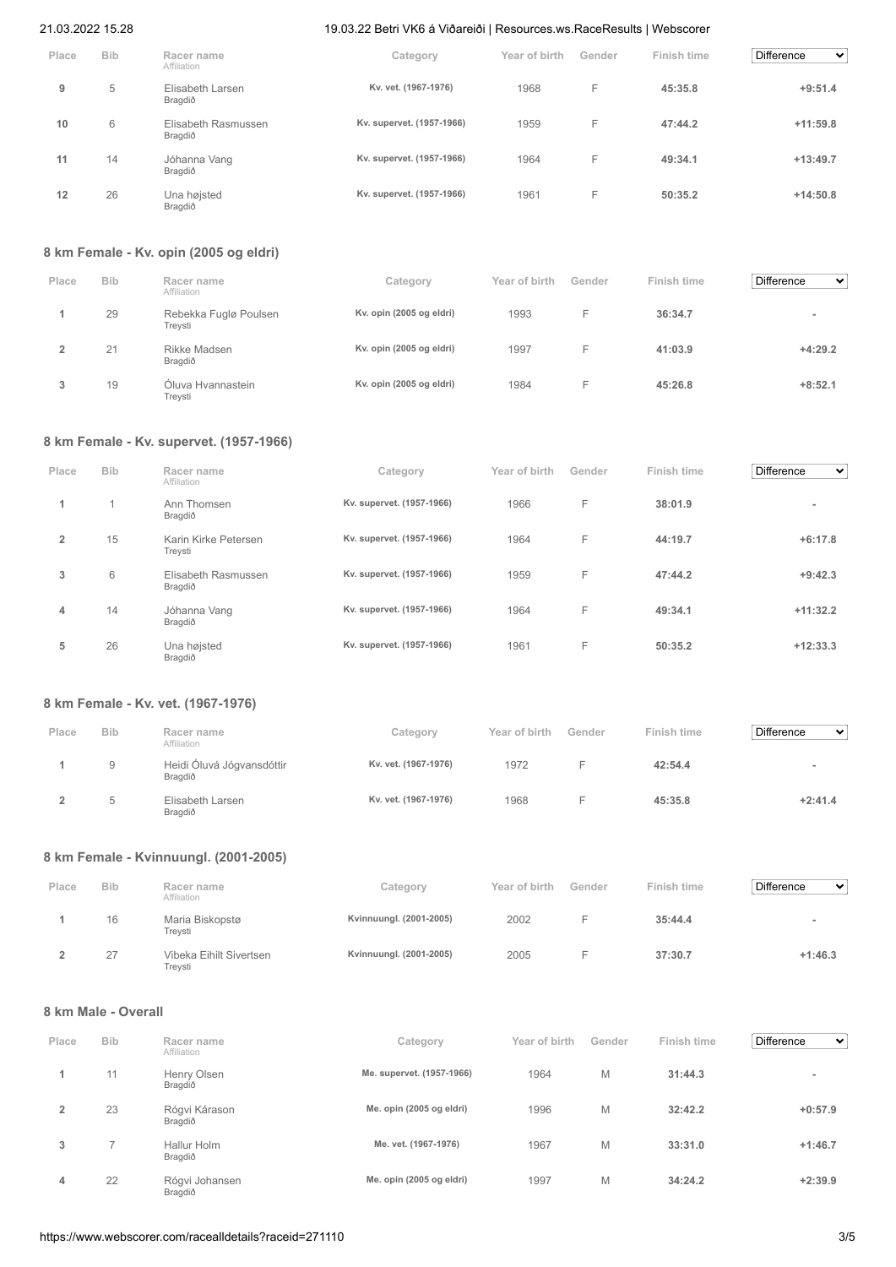| Place | <b>Bib</b> | Racer name<br>Affiliation      | Category                  | Year of birth | Gender | Finish time | <b>Difference</b><br>$\checkmark$ |
|-------|------------|--------------------------------|---------------------------|---------------|--------|-------------|-----------------------------------|
| 9     | 5          | Elisabeth Larsen<br>Bragdið    | Kv. vet. (1967-1976)      | 1968          | F      | 45:35.8     | $+9:51.4$                         |
| 10    | 6          | Elisabeth Rasmussen<br>Bragdið | Kv. supervet. (1957-1966) | 1959          | F      | 47:44.2     | $+11:59.8$                        |
| 11    | 14         | Jóhanna Vang<br>Bragdið        | Kv. supervet. (1957-1966) | 1964          | F      | 49:34.1     | $+13:49.7$                        |
| 12    | 26         | Una højsted<br>Bragdið         | Kv. supervet. (1957-1966) | 1961          | F      | 50:35.2     | $+14:50.8$                        |

## **8 km Female - Kv. opin (2005 og eldri)**

| Place | <b>Bib</b> | Racer name<br>Affiliation        | Category                 | Year of birth | Gender | Finish time | Difference<br>$\checkmark$ |
|-------|------------|----------------------------------|--------------------------|---------------|--------|-------------|----------------------------|
|       | 29         | Rebekka Fuglø Poulsen<br>Treysti | Kv. opin (2005 og eldri) | 1993          | н.     | 36:34.7     | $\overline{\phantom{a}}$   |
|       | 21         | Rikke Madsen<br>Bragdið          | Kv. opin (2005 og eldri) | 1997          | н.     | 41:03.9     | $+4:29.2$                  |
|       | 19         | Óluva Hvannastein<br>Treysti     | Kv. opin (2005 og eldri) | 1984          | н.     | 45:26.8     | $+8:52.1$                  |

## **8 km Female - Kv. supervet. (1957-1966)**

| Place          | <b>Bib</b> | Racer name<br>Affiliation       | Category                  | Year of birth | Gender | Finish time | <b>Difference</b><br>$\checkmark$ |
|----------------|------------|---------------------------------|---------------------------|---------------|--------|-------------|-----------------------------------|
| 1              |            | Ann Thomsen<br>Bragdið          | Kv. supervet. (1957-1966) | 1966          | F      | 38:01.9     | $\overline{\phantom{a}}$          |
| $\overline{2}$ | 15         | Karin Kirke Petersen<br>Treysti | Kv. supervet. (1957-1966) | 1964          | F      | 44:19.7     | $+6:17.8$                         |
| 3              | 6          | Elisabeth Rasmussen<br>Bragdið  | Kv. supervet. (1957-1966) | 1959          | F      | 47:44.2     | $+9:42.3$                         |
| 4              | 14         | Jóhanna Vang<br>Bragdið         | Kv. supervet. (1957-1966) | 1964          | F      | 49:34.1     | $+11:32.2$                        |
| 5              | 26         | Una højsted<br>Bragdið          | Kv. supervet. (1957-1966) | 1961          | F      | 50:35.2     | $+12:33.3$                        |

# **8 km Female - Kv. vet. (1967-1976)**

| Place | <b>Bib</b>   | Racer name<br>Affiliation            | Category             | Year of birth | Gender | Finish time | <b>Difference</b><br>$\checkmark$ |
|-------|--------------|--------------------------------------|----------------------|---------------|--------|-------------|-----------------------------------|
|       | 9            | Heidi Óluvá Jógvansdóttir<br>Bragdið | Kv. vet. (1967-1976) | 1972          |        | 42:54.4     |                                   |
|       | <sub>5</sub> | Elisabeth Larsen<br>Bragdið          | Kv. vet. (1967-1976) | 1968          |        | 45:35.8     | $+2:41.4$                         |

# **8 km Female - Kvinnuungl. (2001-2005)**

| Place | <b>Bib</b> | Racer name<br>Affiliation          | Category                | Year of birth | Gender | Finish time | <b>Difference</b><br>$\checkmark$ |
|-------|------------|------------------------------------|-------------------------|---------------|--------|-------------|-----------------------------------|
|       | 16         | Maria Biskopstø<br>Trevsti         | Kvinnuungl. (2001-2005) | 2002          |        | 35:44.4     |                                   |
|       | 27         | Vibeka Eihilt Sivertsen<br>Trevsti | Kvinnuungl. (2001-2005) | 2005          |        | 37:30.7     | $+1:46.3$                         |

## **8 km Male - Overall**

| Place          | <b>Bib</b> | Racer name<br>Affiliation | Category                  | Year of birth | Gender | Finish time | <b>Difference</b><br>$\checkmark$ |
|----------------|------------|---------------------------|---------------------------|---------------|--------|-------------|-----------------------------------|
|                | 11         | Henry Olsen<br>Bragdið    | Me. supervet. (1957-1966) | 1964          | M      | 31:44.3     | $\overline{\phantom{a}}$          |
| $\overline{2}$ | 23         | Rógvi Kárason<br>Bragdið  | Me. opin (2005 og eldri)  | 1996          | M      | 32:42.2     | $+0:57.9$                         |
| 3              |            | Hallur Holm<br>Bragdið    | Me. vet. (1967-1976)      | 1967          | M      | 33:31.0     | $+1:46.7$                         |
| 4              | 22         | Rógvi Johansen<br>Bragdið | Me. opin (2005 og eldri)  | 1997          | M      | 34:24.2     | $+2:39.9$                         |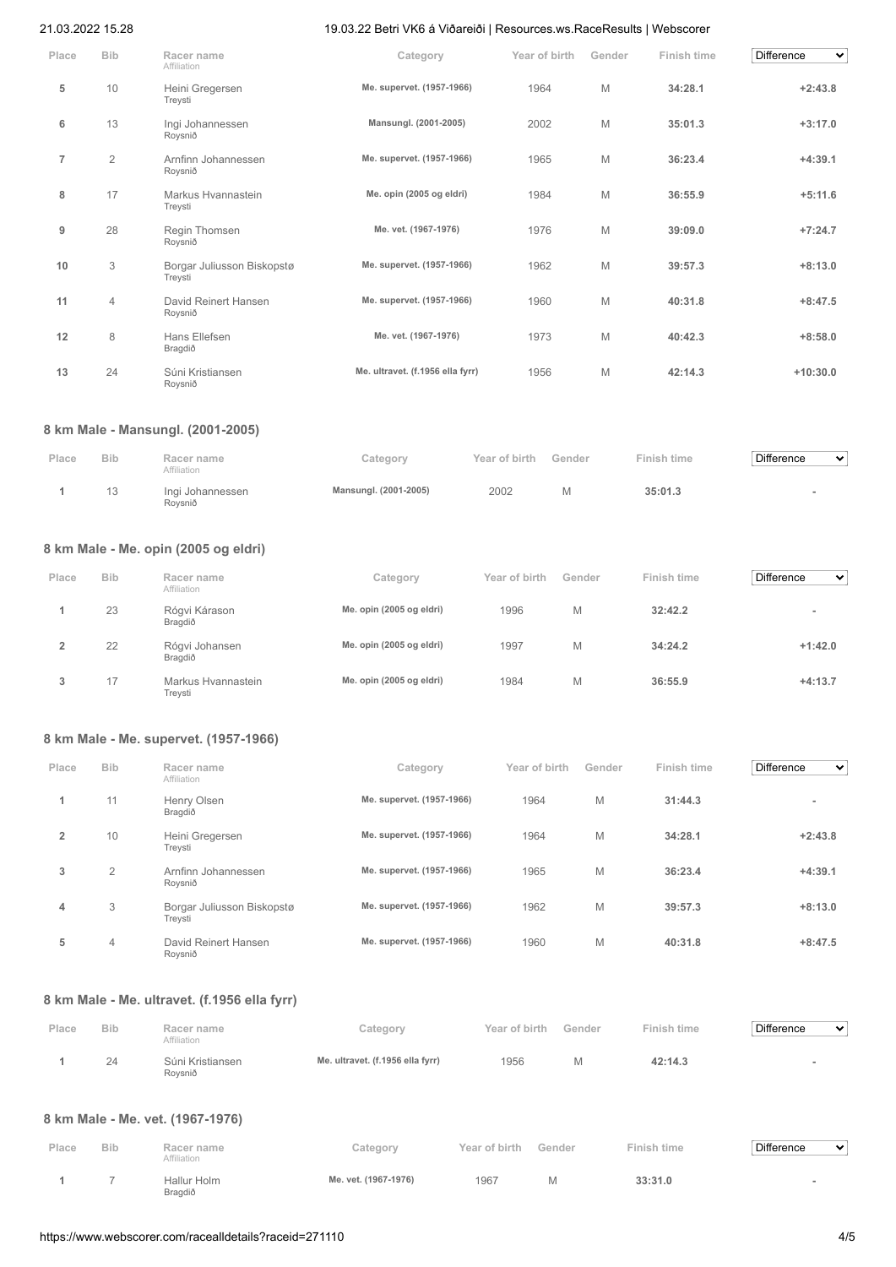| Place          | <b>Bib</b>     | Racer name<br>Affiliation             | Category                         | Year of birth | Gender | Finish time | <b>Difference</b><br>$\checkmark$ |
|----------------|----------------|---------------------------------------|----------------------------------|---------------|--------|-------------|-----------------------------------|
| 5              | 10             | Heini Gregersen<br>Treysti            | Me. supervet. (1957-1966)        | 1964          | M      | 34:28.1     | $+2:43.8$                         |
| 6              | 13             | Ingi Johannessen<br>Roysnið           | Mansungl. (2001-2005)            | 2002          | M      | 35:01.3     | $+3:17.0$                         |
| $\overline{7}$ | $\overline{2}$ | Arnfinn Johannessen<br>Roysnið        | Me. supervet. (1957-1966)        | 1965          | M      | 36:23.4     | $+4:39.1$                         |
| 8              | 17             | Markus Hvannastein<br>Treysti         | Me. opin (2005 og eldri)         | 1984          | M      | 36:55.9     | $+5:11.6$                         |
| 9              | 28             | Regin Thomsen<br>Roysnið              | Me. vet. (1967-1976)             | 1976          | M      | 39:09.0     | $+7:24.7$                         |
| 10             | 3              | Borgar Juliusson Biskopstø<br>Treysti | Me. supervet. (1957-1966)        | 1962          | M      | 39:57.3     | $+8:13.0$                         |
| 11             | 4              | David Reinert Hansen<br>Roysnið       | Me. supervet. (1957-1966)        | 1960          | M      | 40:31.8     | $+8:47.5$                         |
| 12             | 8              | Hans Ellefsen<br>Bragdið              | Me. vet. (1967-1976)             | 1973          | M      | 40:42.3     | $+8:58.0$                         |
| 13             | 24             | Súni Kristiansen<br>Roysnið           | Me. ultravet. (f.1956 ella fyrr) | 1956          | M      | 42:14.3     | $+10:30.0$                        |

## **8 km Male - Mansungl. (2001-2005)**

| Place | <b>Bib</b> | Racer name<br>Affiliation   | Category              | Year of birth | Gender | Finish time | Difference<br>$\mathbf{v}$ |
|-------|------------|-----------------------------|-----------------------|---------------|--------|-------------|----------------------------|
|       |            | Ingi Johannessen<br>Rovsnið | Mansungl. (2001-2005) | 2002          |        | 35:01.3     |                            |

# **8 km Male - Me. opin (2005 og eldri)**

| Place | <b>Bib</b> | Racer name<br>Affiliation     | Category                 | Year of birth | Gender | Finish time | <b>Difference</b><br>$\mathbf{v}$ |
|-------|------------|-------------------------------|--------------------------|---------------|--------|-------------|-----------------------------------|
|       | 23         | Rógvi Kárason<br>Bragdið      | Me. opin (2005 og eldri) | 1996          | M      | 32:42.2     |                                   |
|       | 22         | Rógvi Johansen<br>Bragdið     | Me. opin (2005 og eldri) | 1997          | M      | 34:24.2     | $+1:42.0$                         |
| 3     | 17         | Markus Hvannastein<br>Treysti | Me. opin (2005 og eldri) | 1984          | M      | 36:55.9     | $+4:13.7$                         |

## **8 km Male - Me. supervet. (1957-1966)**

| Place          | <b>Bib</b>     | Racer name<br>Affiliation             | Category                  | Year of birth | Gender | Finish time | <b>Difference</b><br>$\checkmark$ |
|----------------|----------------|---------------------------------------|---------------------------|---------------|--------|-------------|-----------------------------------|
|                | 11             | Henry Olsen<br>Bragdið                | Me. supervet. (1957-1966) | 1964          | M      | 31:44.3     | $\overline{\phantom{a}}$          |
| $\overline{2}$ | 10             | Heini Gregersen<br>Treysti            | Me. supervet. (1957-1966) | 1964          | M      | 34:28.1     | $+2:43.8$                         |
| 3              | 2              | Arnfinn Johannessen<br>Roysnið        | Me. supervet. (1957-1966) | 1965          | M      | 36:23.4     | $+4:39.1$                         |
| 4              | 3              | Borgar Juliusson Biskopstø<br>Treysti | Me. supervet. (1957-1966) | 1962          | M      | 39:57.3     | $+8:13.0$                         |
| 5              | $\overline{4}$ | David Reinert Hansen<br>Roysnið       | Me. supervet. (1957-1966) | 1960          | M      | 40:31.8     | $+8:47.5$                         |

## **8 km Male - Me. ultravet. (f.1956 ella fyrr)**

| Place | <b>Bib</b> | Racer name<br>Affiliation   | Category                         | Year of birth | Gender | Finish time | Difference<br>$\checkmark$ |
|-------|------------|-----------------------------|----------------------------------|---------------|--------|-------------|----------------------------|
|       | 24         | Súni Kristiansen<br>Rovsnið | Me. ultravet. (f.1956 ella fyrr) | 1956          | M      | 42:14.3     |                            |

## **8 km Male - Me. vet. (1967-1976)**

| Place | <b>Bib</b> | Racer name<br>Affiliation | Category             | Year of birth | Gender | Finish time | <b>Difference</b><br>$\checkmark$ |
|-------|------------|---------------------------|----------------------|---------------|--------|-------------|-----------------------------------|
|       |            | Hallur Holm<br>Bragdið    | Me. vet. (1967-1976) | 1967          |        | 33:31.0     |                                   |